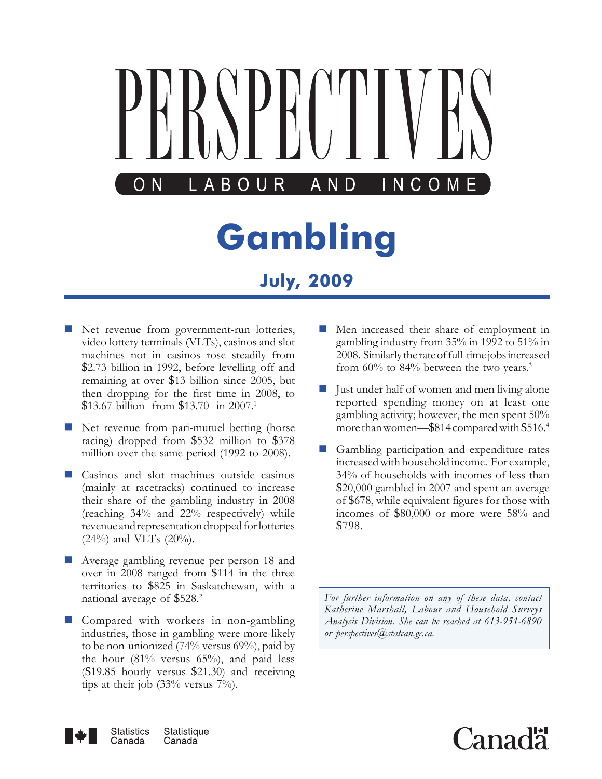

- Net revenue from government-run lotteries, video lottery terminals (VLTs), casinos and slot machines not in casinos rose steadily from \$2.73 billion in 1992, before levelling off and remaining at over \$13 billion since 2005, but then dropping for the first time in 2008, to \$13.67 billion from \$13.70 in 2007.<sup>1</sup>
- Net revenue from pari-mutuel betting (horse racing) dropped from \$532 million to \$378 million over the same period (1992 to 2008).
- Casinos and slot machines outside casinos (mainly at racetracks) continued to increase their share of the gambling industry in 2008 (reaching 34% and 22% respectively) while revenue and representation dropped for lotteries (24%) and VLTs (20%).
- **Average gambling revenue per person 18 and** over in 2008 ranged from \$114 in the three territories to \$825 in Saskatchewan, with a national average of \$528.<sup>2</sup>
- Compared with workers in non-gambling industries, those in gambling were more likely to be non-unionized (74% versus 69%), paid by the hour  $(81\%$  versus  $65\%)$ , and paid less (\$19.85 hourly versus \$21.30) and receiving tips at their job (33% versus 7%).
- **Men** increased their share of employment in gambling industry from 35% in 1992 to 51% in 2008. Similarly the rate of full-time jobs increased from 60% to 84% between the two years.<sup>3</sup>
- Just under half of women and men living alone reported spending money on at least one gambling activity; however, the men spent 50% more than women—\$814 compared with \$516.4
- Gambling participation and expenditure rates increased with household income. For example, 34% of households with incomes of less than \$20,000 gambled in 2007 and spent an average of \$678, while equivalent figures for those with incomes of \$80,000 or more were 58% and \$798.

*For further information on any of these data, contact Katherine Marshall, Labour and Household Surveys Analysis Division. She can be reached at 613-951-6890 or perspectives@statcan.gc.ca.*



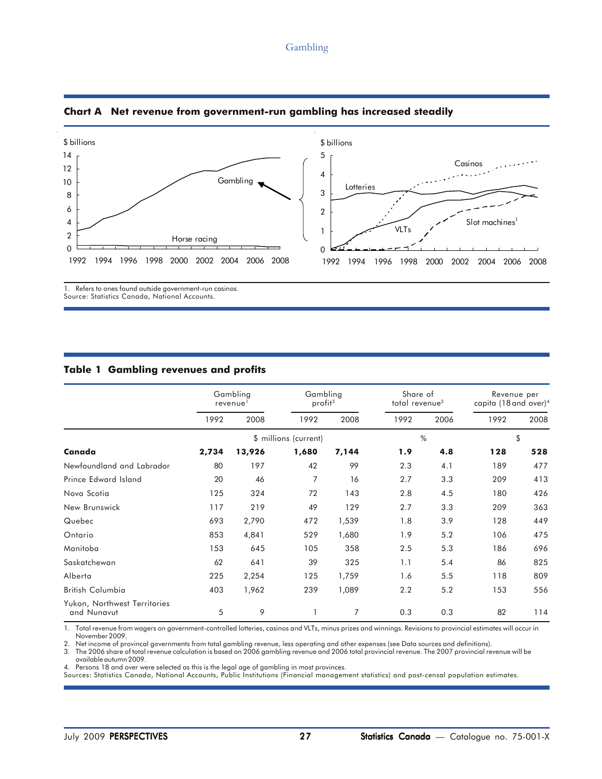### Gambling





# **Table 1 Gambling revenues and profits**

|                                             | Gambling<br>revenue <sup>1</sup> |        | Gambling<br>profit <sup>2</sup> |       | Share of<br>total revenue <sup>3</sup> |      | Revenue per<br>capita (18 and over) <sup>4</sup> |      |
|---------------------------------------------|----------------------------------|--------|---------------------------------|-------|----------------------------------------|------|--------------------------------------------------|------|
|                                             | 1992                             | 2008   | 1992                            | 2008  | 1992                                   | 2006 | 1992                                             | 2008 |
|                                             |                                  |        | \$ millions (current)           |       | %                                      |      | \$                                               |      |
| Canada                                      | 2,734                            | 13,926 | 1,680                           | 7,144 | 1.9                                    | 4.8  | 128                                              | 528  |
| Newfoundland and Labrador                   | 80                               | 197    | 42                              | 99    | 2.3                                    | 4.1  | 189                                              | 477  |
| Prince Edward Island                        | 20                               | 46     | 7                               | 16    | 2.7                                    | 3.3  | 209                                              | 413  |
| Nova Scotia                                 | 125                              | 324    | 72                              | 143   | 2.8                                    | 4.5  | 180                                              | 426  |
| New Brunswick                               | 117                              | 219    | 49                              | 129   | 2.7                                    | 3.3  | 209                                              | 363  |
| Quebec                                      | 693                              | 2,790  | 472                             | 1,539 | 1.8                                    | 3.9  | 128                                              | 449  |
| Ontario                                     | 853                              | 4,841  | 529                             | 1,680 | 1.9                                    | 5.2  | 106                                              | 475  |
| Manitoba                                    | 153                              | 645    | 105                             | 358   | 2.5                                    | 5.3  | 186                                              | 696  |
| Saskatchewan                                | 62                               | 641    | 39                              | 325   | 1.1                                    | 5.4  | 86                                               | 825  |
| Alberta                                     | 225                              | 2,254  | 125                             | 1,759 | 1.6                                    | 5.5  | 118                                              | 809  |
| <b>British Columbia</b>                     | 403                              | 1,962  | 239                             | 1,089 | 2.2                                    | 5.2  | 153                                              | 556  |
| Yukon, Northwest Territories<br>and Nunavut | 5                                | 9      |                                 | 7     | 0.3                                    | 0.3  | 82                                               | 114  |

1. Total revenue from wagers on government-controlled lotteries, casinos and VLTs, minus prizes and winnings. Revisions to provincial estimates will occur in November 2009.

2. Net income of provincal governments from total gambling revenue, less operating and other expenses (see Data sources and definitions).

3. The 2006 share of total revenue calculation is based on 2006 gambling revenue and 2006 total provincial revenue. The 2007 provincial revenue will be available autumn 2009.

4. Persons 18 and over were selected as this is the legal age of gambling in most provinces.

Sources: Statistics Canada, National Accounts, Public Institutions (Financial management statistics) and post-censal population estimates.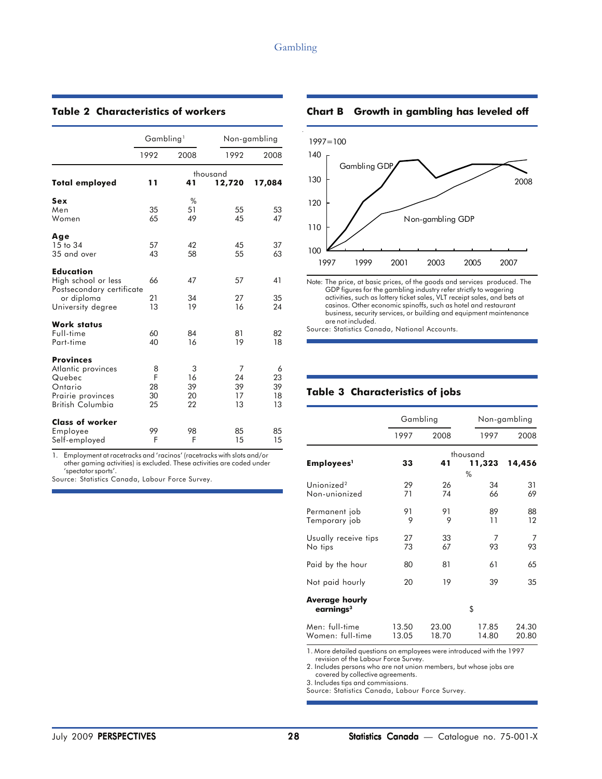### **Table 2 Characteristics of workers**

|                                                                                                      | Gambling <sup>1</sup>    |                           |                           | Non-gambling              |
|------------------------------------------------------------------------------------------------------|--------------------------|---------------------------|---------------------------|---------------------------|
|                                                                                                      | 1992                     | 2008                      | 1992                      | 2008                      |
| <b>Total employed</b>                                                                                | 11                       | 41                        | thousand<br>12,720        | 17,084                    |
| Sex<br>Men<br>Women                                                                                  | 35<br>65                 | %<br>51<br>49             | 55<br>45                  | 53<br>47                  |
| Age<br>15 to 34<br>35 and over                                                                       | 57<br>43                 | 42<br>58                  | 45<br>55                  | 37<br>63                  |
| <b>Education</b><br>High school or less<br>Postsecondary certificate<br>or diploma                   | 66<br>21                 | 47<br>34                  | 57<br>27                  | 41<br>35                  |
| University degree                                                                                    | 13                       | 19                        | 16                        | 24                        |
| <b>Work status</b><br>Full-time<br>Part-time                                                         | 60<br>40                 | 84<br>16                  | 81<br>19                  | 82<br>18                  |
| <b>Provinces</b><br>Atlantic provinces<br>Quebec<br>Ontario<br>Prairie provinces<br>British Columbia | 8<br>F<br>28<br>30<br>25 | 3<br>16<br>39<br>20<br>22 | 7<br>24<br>39<br>17<br>13 | 6<br>23<br>39<br>18<br>13 |
| <b>Class of worker</b><br>Employee<br>Self-employed                                                  | 99<br>F                  | 98<br>F                   | 85<br>15                  | 85<br>15                  |

1. Employment at racetracks and 'racinos' (racetracks with slots and/or other gaming activities) is excluded. These activities are coded under 'spectator sports'.

Source: Statistics Canada, Labour Force Survey.

### **Chart B Growth in gambling has leveled off**



activities, such as lottery ticket sales, VLT receipt sales, and bets at casinos. Other economic spinoffs, such as hotel and restaurant business, security services, or building and equipment maintenance are not included.

Source: Statistics Canada, National Accounts.

# **Table 3 Characteristics of jobs**

|                                         | Gambling       |                |                         | Non-gambling   |  |
|-----------------------------------------|----------------|----------------|-------------------------|----------------|--|
|                                         | 1997           | 2008           | 1997                    | 2008           |  |
| Employees <sup>1</sup>                  | 33             | 41             | thousand<br>11,323<br>% | 14,456         |  |
| Unionized <sup>2</sup><br>Non-unionized | 29<br>71       | 26<br>74       | 34<br>66                | 31<br>69       |  |
| Permanent job<br>Temporary job          | 91<br>9        | 91<br>9        | 89<br>11                | 88<br>12       |  |
| Usually receive tips<br>No tips         | 27<br>73       | 33<br>67       | 7<br>93                 | 7<br>93        |  |
| Paid by the hour                        | 80             | 81             | 61                      | 65             |  |
| Not paid hourly                         | 20             | 19             | 39                      | 35             |  |
| <b>Average hourly</b><br>earnings $3$   |                |                | \$                      |                |  |
| Men: full-time<br>Women: full-time      | 13.50<br>13.05 | 23.00<br>18.70 | 17.85<br>14.80          | 24.30<br>20.80 |  |

1. More detailed questions on employees were introduced with the 1997 revision of the Labour Force Survey.

2. Includes persons who are not union members, but whose jobs are covered by collective agreements.

3. Includes tips and commissions.

Source: Statistics Canada, Labour Force Survey.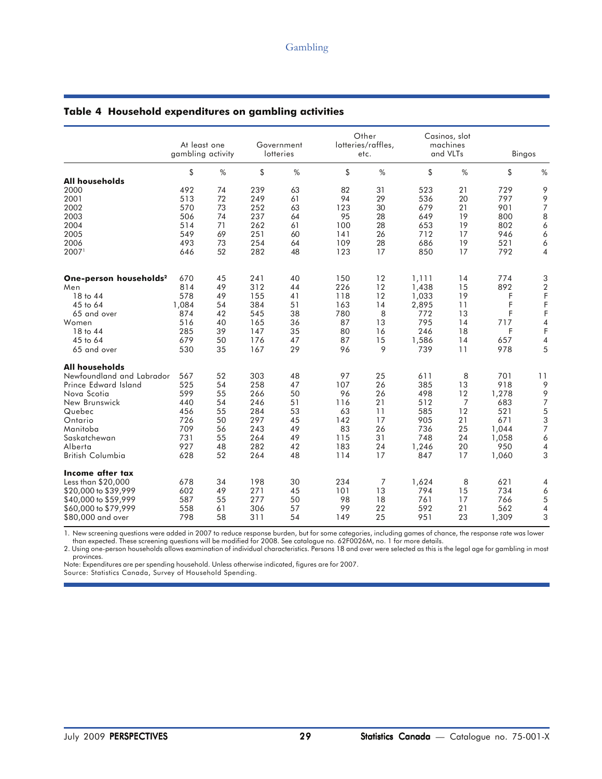|                                    | At least one<br>gambling activity |    |     | Government<br>lotteries |     | Other<br>lotteries/raffles,<br>etc. |       | Casinos, slot<br>machines<br>and VLTs |       | Bingos         |
|------------------------------------|-----------------------------------|----|-----|-------------------------|-----|-------------------------------------|-------|---------------------------------------|-------|----------------|
|                                    | \$                                | %  | \$  | %                       | \$  | %                                   | \$    | %                                     | \$    | %              |
| <b>All households</b>              |                                   |    |     |                         |     |                                     |       |                                       |       |                |
| 2000                               | 492                               | 74 | 239 | 63                      | 82  | 31                                  | 523   | 21                                    | 729   | 9              |
| 2001                               | 513                               | 72 | 249 | 61                      | 94  | 29                                  | 536   | 20                                    | 797   | 9              |
| 2002                               | 570                               | 73 | 252 | 63                      | 123 | 30                                  | 679   | 21                                    | 901   | $\overline{7}$ |
| 2003                               | 506                               | 74 | 237 | 64                      | 95  | 28                                  | 649   | 19                                    | 800   | 8              |
| 2004                               | 514                               | 71 | 262 | 61                      | 100 | 28                                  | 653   | 19                                    | 802   | 6              |
| 2005                               | 549                               | 69 | 251 | 60                      | 141 | 26                                  | 712   | 17                                    | 946   | 6              |
| 2006                               | 493                               | 73 | 254 | 64                      | 109 | 28                                  | 686   | 19                                    | 521   | 6              |
| 20071                              | 646                               | 52 | 282 | 48                      | 123 | 17                                  | 850   | 17                                    | 792   | 4              |
| One-person households <sup>2</sup> | 670                               | 45 | 241 | 40                      | 150 | 12                                  | 1,111 | 14                                    | 774   | 3              |
| Men                                | 814                               | 49 | 312 | 44                      | 226 | 12                                  | 1,438 | 15                                    | 892   | $\sqrt{2}$     |
| 18 to 44                           | 578                               | 49 | 155 | 41                      | 118 | 12                                  | 1,033 | 19                                    | F     | F              |
| 45 to 64                           | 1,084                             | 54 | 384 | 51                      | 163 | 14                                  | 2,895 | 11                                    | F     | F              |
| 65 and over                        | 874                               | 42 | 545 | 38                      | 780 | 8                                   | 772   | 13                                    | F     | F              |
| Women                              | 516                               | 40 | 165 | 36                      | 87  | 13                                  | 795   | 14                                    | 717   | 4              |
| 18 to 44                           | 285                               | 39 | 147 | 35                      | 80  | 16                                  | 246   | 18                                    | F     | $\mathsf F$    |
| 45 to 64                           | 679                               | 50 | 176 | 47                      | 87  | 15                                  | 1,586 | 14                                    | 657   | $\pmb{4}$      |
| 65 and over                        | 530                               | 35 | 167 | 29                      | 96  | 9                                   | 739   | 11                                    | 978   | 5              |
| <b>All households</b>              |                                   |    |     |                         |     |                                     |       |                                       |       |                |
| Newfoundland and Labrador          | 567                               | 52 | 303 | 48                      | 97  | 25                                  | 611   | 8                                     | 701   | 11             |
| Prince Edward Island               | 525                               | 54 | 258 | 47                      | 107 | 26                                  | 385   | 13                                    | 918   | 9              |
| Nova Scotia                        | 599                               | 55 | 266 | 50                      | 96  | 26                                  | 498   | 12                                    | 1,278 | 9              |
| New Brunswick                      | 440                               | 54 | 246 | 51                      | 116 | 21                                  | 512   | $\overline{7}$                        | 683   | $\overline{7}$ |
| Quebec                             | 456                               | 55 | 284 | 53                      | 63  | 11                                  | 585   | 12                                    | 521   | 5              |
| Ontario                            | 726                               | 50 | 297 | 45                      | 142 | 17                                  | 905   | 21                                    | 671   | 3              |
| Manitoba                           | 709                               | 56 | 243 | 49                      | 83  | 26                                  | 736   | 25                                    | 1,044 | $\overline{7}$ |
| Saskatchewan                       | 731                               | 55 | 264 | 49                      | 115 | 31                                  | 748   | 24                                    | 1,058 | 6              |
| Alberta                            | 927                               | 48 | 282 | 42                      | 183 | 24                                  | 1,246 | 20                                    | 950   | 4              |
| <b>British Columbia</b>            | 628                               | 52 | 264 | 48                      | 114 | 17                                  | 847   | 17                                    | 1,060 | 3              |
| Income after tax                   |                                   |    |     |                         |     |                                     |       |                                       |       |                |
| Less than \$20,000                 | 678                               | 34 | 198 | 30                      | 234 | 7                                   | 1,624 | 8                                     | 621   | 4              |
| \$20,000 to \$39,999               | 602                               | 49 | 271 | 45                      | 101 | 13                                  | 794   | 15                                    | 734   | 6              |
| \$40,000 to \$59,999               | 587                               | 55 | 277 | 50                      | 98  | 18                                  | 761   | 17                                    | 766   | 5              |
| \$60,000 to \$79,999               | 558                               | 61 | 306 | 57                      | 99  | 22                                  | 592   | 21                                    | 562   | $\pmb{4}$      |
| \$80,000 and over                  | 798                               | 58 | 311 | 54                      | 149 | 25                                  | 951   | 23                                    | 1,309 | 3              |

### **Table 4 Household expenditures on gambling activities**

1. New screening questions were added in 2007 to reduce response burden, but for some categories, including games of chance, the response rate was lower than expected. These screening questions will be modified for 2008. See catalogue no. 62F0026M, no. 1 for more details.

2. Using one-person households allows examination of individual characteristics. Persons 18 and over were selected as this is the legal age for gambling in most provinces.

Note: Expenditures are per spending household. Unless otherwise indicated, figures are for 2007. Source: Statistics Canada, Survey of Household Spending.